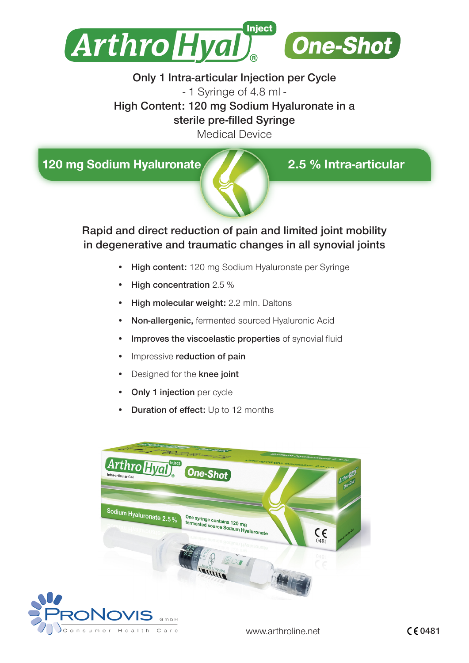

# Only 1 Intra-articular Injection per Cycle - 1 Syringe of 4.8 ml - High Content: 120 mg Sodium Hyaluronate in a sterile pre-filled Syringe

Medical Device

120 mg Sodium Hyaluronate



2.5 % Intra-articular

Rapid and direct reduction of pain and limited joint mobility in degenerative and traumatic changes in all synovial joints

- High content: 120 mg Sodium Hyaluronate per Syringe
- High concentration 2.5 %
- High molecular weight: 2.2 mln. Daltons
- Non-allergenic, fermented sourced Hyaluronic Acid
- Improves the viscoelastic properties of synovial fluid
- Impressive reduction of pain
- Designed for the knee joint
- **Only 1 injection** per cycle
- Duration of effect: Up to 12 months